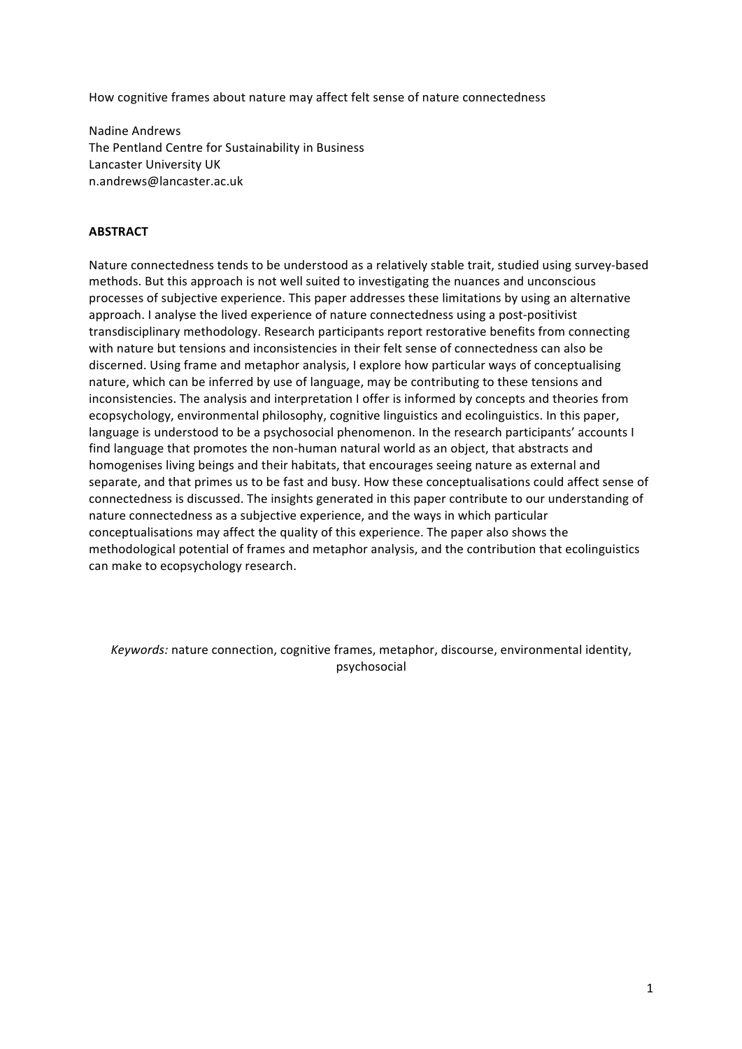How cognitive frames about nature may affect felt sense of nature connectedness

Nadine Andrews The Pentland Centre for Sustainability in Business Lancaster University UK n.andrews@lancaster.ac.uk

#### **ABSTRACT**

Nature connectedness tends to be understood as a relatively stable trait, studied using survey-based methods. But this approach is not well suited to investigating the nuances and unconscious processes of subjective experience. This paper addresses these limitations by using an alternative approach. I analyse the lived experience of nature connectedness using a post-positivist transdisciplinary methodology. Research participants report restorative benefits from connecting with nature but tensions and inconsistencies in their felt sense of connectedness can also be discerned. Using frame and metaphor analysis, I explore how particular ways of conceptualising nature, which can be inferred by use of language, may be contributing to these tensions and inconsistencies. The analysis and interpretation I offer is informed by concepts and theories from ecopsychology, environmental philosophy, cognitive linguistics and ecolinguistics. In this paper, language is understood to be a psychosocial phenomenon. In the research participants' accounts I find language that promotes the non-human natural world as an object, that abstracts and homogenises living beings and their habitats, that encourages seeing nature as external and separate, and that primes us to be fast and busy. How these conceptualisations could affect sense of connectedness is discussed. The insights generated in this paper contribute to our understanding of nature connectedness as a subjective experience, and the ways in which particular conceptualisations may affect the quality of this experience. The paper also shows the methodological potential of frames and metaphor analysis, and the contribution that ecolinguistics can make to ecopsychology research.

*Keywords:* nature connection, cognitive frames, metaphor, discourse, environmental identity, psychosocial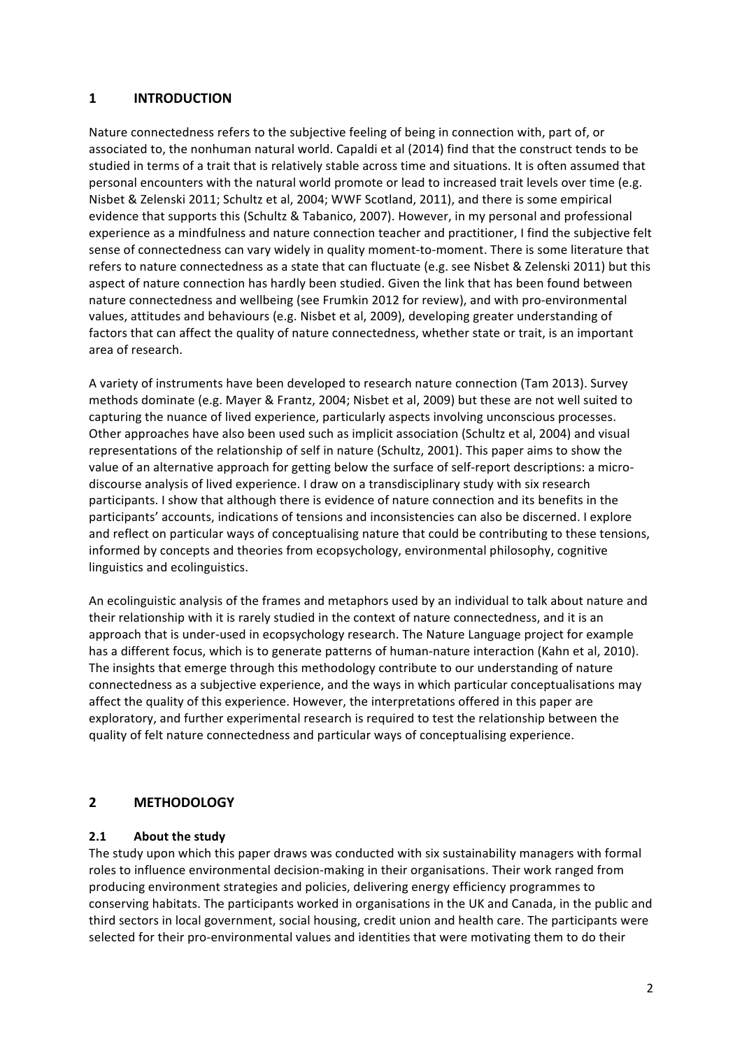## **1 INTRODUCTION**

Nature connectedness refers to the subjective feeling of being in connection with, part of, or associated to, the nonhuman natural world. Capaldi et al (2014) find that the construct tends to be studied in terms of a trait that is relatively stable across time and situations. It is often assumed that personal encounters with the natural world promote or lead to increased trait levels over time (e.g. Nisbet & Zelenski 2011; Schultz et al, 2004; WWF Scotland, 2011), and there is some empirical evidence that supports this (Schultz & Tabanico, 2007). However, in my personal and professional experience as a mindfulness and nature connection teacher and practitioner, I find the subjective felt sense of connectedness can vary widely in quality moment-to-moment. There is some literature that refers to nature connectedness as a state that can fluctuate (e.g. see Nisbet & Zelenski 2011) but this aspect of nature connection has hardly been studied. Given the link that has been found between nature connectedness and wellbeing (see Frumkin 2012 for review), and with pro-environmental values, attitudes and behaviours (e.g. Nisbet et al, 2009), developing greater understanding of factors that can affect the quality of nature connectedness, whether state or trait, is an important area of research. 

A variety of instruments have been developed to research nature connection (Tam 2013). Survey methods dominate (e.g. Mayer & Frantz, 2004; Nisbet et al, 2009) but these are not well suited to capturing the nuance of lived experience, particularly aspects involving unconscious processes. Other approaches have also been used such as implicit association (Schultz et al, 2004) and visual representations of the relationship of self in nature (Schultz, 2001). This paper aims to show the value of an alternative approach for getting below the surface of self-report descriptions: a microdiscourse analysis of lived experience. I draw on a transdisciplinary study with six research participants. I show that although there is evidence of nature connection and its benefits in the participants' accounts, indications of tensions and inconsistencies can also be discerned. I explore and reflect on particular ways of conceptualising nature that could be contributing to these tensions, informed by concepts and theories from ecopsychology, environmental philosophy, cognitive linguistics and ecolinguistics.

An ecolinguistic analysis of the frames and metaphors used by an individual to talk about nature and their relationship with it is rarely studied in the context of nature connectedness, and it is an approach that is under-used in ecopsychology research. The Nature Language project for example has a different focus, which is to generate patterns of human-nature interaction (Kahn et al, 2010). The insights that emerge through this methodology contribute to our understanding of nature connectedness as a subjective experience, and the ways in which particular conceptualisations may affect the quality of this experience. However, the interpretations offered in this paper are exploratory, and further experimental research is required to test the relationship between the quality of felt nature connectedness and particular ways of conceptualising experience.

# **2 METHODOLOGY**

## **2.1** About the study

The study upon which this paper draws was conducted with six sustainability managers with formal roles to influence environmental decision-making in their organisations. Their work ranged from producing environment strategies and policies, delivering energy efficiency programmes to conserving habitats. The participants worked in organisations in the UK and Canada, in the public and third sectors in local government, social housing, credit union and health care. The participants were selected for their pro-environmental values and identities that were motivating them to do their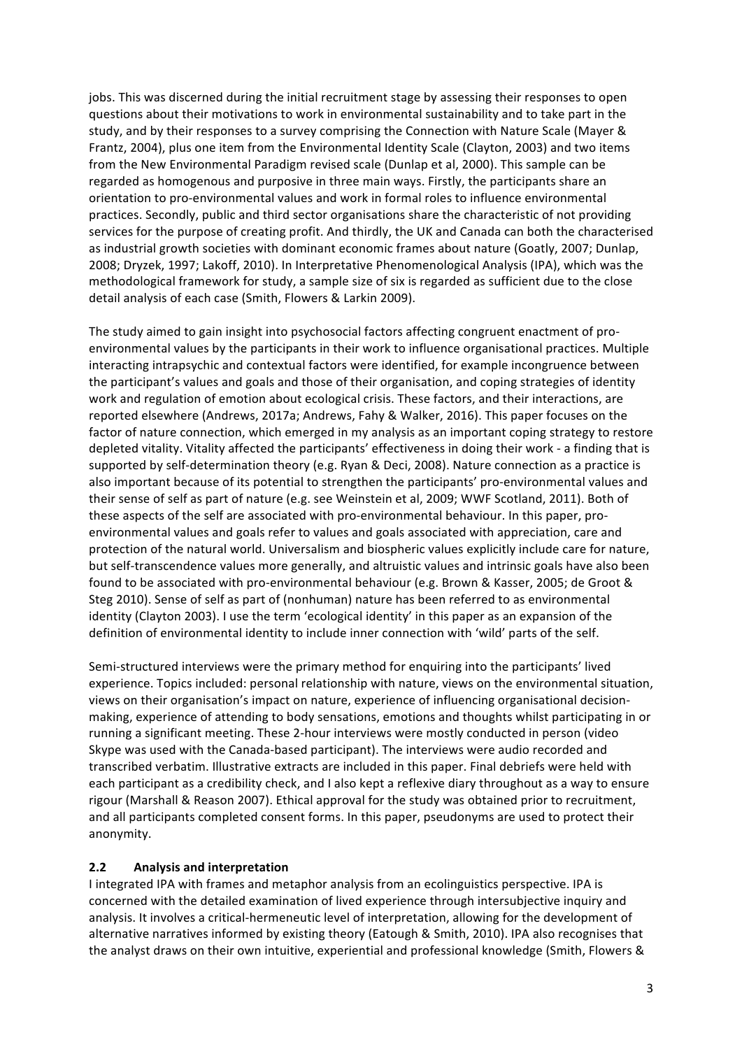jobs. This was discerned during the initial recruitment stage by assessing their responses to open questions about their motivations to work in environmental sustainability and to take part in the study, and by their responses to a survey comprising the Connection with Nature Scale (Mayer & Frantz, 2004), plus one item from the Environmental Identity Scale (Clayton, 2003) and two items from the New Environmental Paradigm revised scale (Dunlap et al, 2000). This sample can be regarded as homogenous and purposive in three main ways. Firstly, the participants share an orientation to pro-environmental values and work in formal roles to influence environmental practices. Secondly, public and third sector organisations share the characteristic of not providing services for the purpose of creating profit. And thirdly, the UK and Canada can both the characterised as industrial growth societies with dominant economic frames about nature (Goatly, 2007; Dunlap, 2008; Dryzek, 1997; Lakoff, 2010). In Interpretative Phenomenological Analysis (IPA), which was the methodological framework for study, a sample size of six is regarded as sufficient due to the close detail analysis of each case (Smith, Flowers & Larkin 2009).

The study aimed to gain insight into psychosocial factors affecting congruent enactment of proenvironmental values by the participants in their work to influence organisational practices. Multiple interacting intrapsychic and contextual factors were identified, for example incongruence between the participant's values and goals and those of their organisation, and coping strategies of identity work and regulation of emotion about ecological crisis. These factors, and their interactions, are reported elsewhere (Andrews, 2017a; Andrews, Fahy & Walker, 2016). This paper focuses on the factor of nature connection, which emerged in my analysis as an important coping strategy to restore depleted vitality. Vitality affected the participants' effectiveness in doing their work - a finding that is supported by self-determination theory (e.g. Ryan & Deci, 2008). Nature connection as a practice is also important because of its potential to strengthen the participants' pro-environmental values and their sense of self as part of nature (e.g. see Weinstein et al, 2009; WWF Scotland, 2011). Both of these aspects of the self are associated with pro-environmental behaviour. In this paper, proenvironmental values and goals refer to values and goals associated with appreciation, care and protection of the natural world. Universalism and biospheric values explicitly include care for nature, but self-transcendence values more generally, and altruistic values and intrinsic goals have also been found to be associated with pro-environmental behaviour (e.g. Brown & Kasser, 2005; de Groot & Steg 2010). Sense of self as part of (nonhuman) nature has been referred to as environmental identity (Clayton 2003). I use the term 'ecological identity' in this paper as an expansion of the definition of environmental identity to include inner connection with 'wild' parts of the self.

Semi-structured interviews were the primary method for enquiring into the participants' lived experience. Topics included: personal relationship with nature, views on the environmental situation, views on their organisation's impact on nature, experience of influencing organisational decisionmaking, experience of attending to body sensations, emotions and thoughts whilst participating in or running a significant meeting. These 2-hour interviews were mostly conducted in person (video Skype was used with the Canada-based participant). The interviews were audio recorded and transcribed verbatim. Illustrative extracts are included in this paper. Final debriefs were held with each participant as a credibility check, and I also kept a reflexive diary throughout as a way to ensure rigour (Marshall & Reason 2007). Ethical approval for the study was obtained prior to recruitment. and all participants completed consent forms. In this paper, pseudonyms are used to protect their anonymity.

## **2.2 Analysis and interpretation**

I integrated IPA with frames and metaphor analysis from an ecolinguistics perspective. IPA is concerned with the detailed examination of lived experience through intersubjective inquiry and analysis. It involves a critical-hermeneutic level of interpretation, allowing for the development of alternative narratives informed by existing theory (Eatough & Smith, 2010). IPA also recognises that the analyst draws on their own intuitive, experiential and professional knowledge (Smith, Flowers &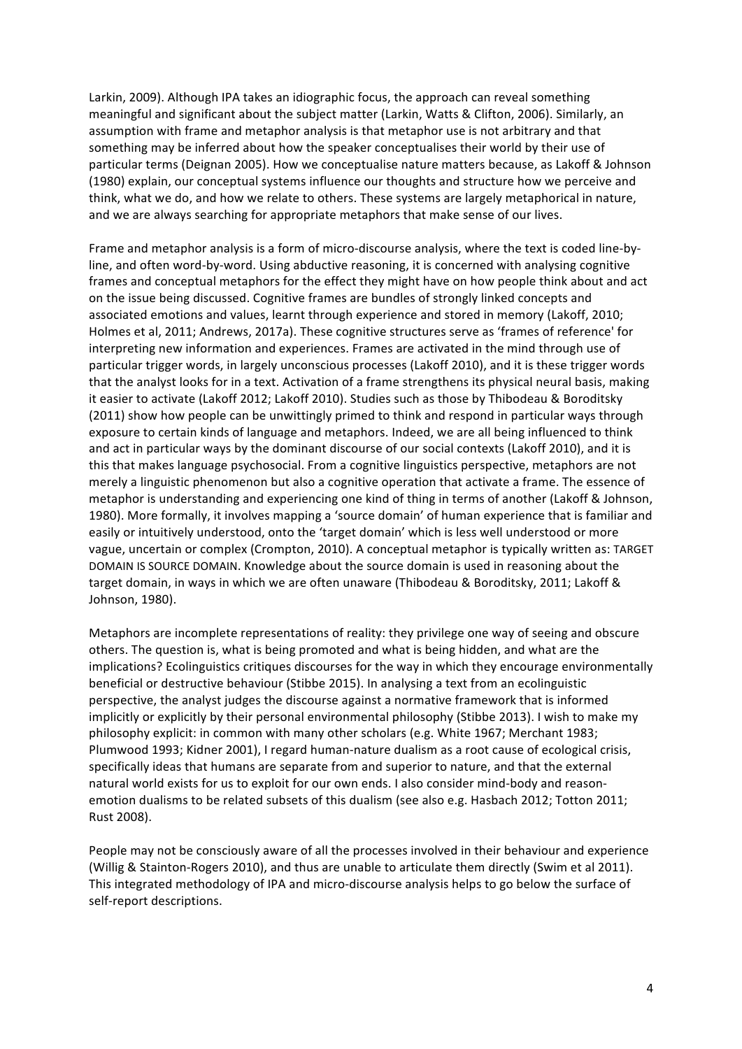Larkin, 2009). Although IPA takes an idiographic focus, the approach can reveal something meaningful and significant about the subject matter (Larkin, Watts & Clifton, 2006). Similarly, an assumption with frame and metaphor analysis is that metaphor use is not arbitrary and that something may be inferred about how the speaker conceptualises their world by their use of particular terms (Deignan 2005). How we conceptualise nature matters because, as Lakoff & Johnson (1980) explain, our conceptual systems influence our thoughts and structure how we perceive and think, what we do, and how we relate to others. These systems are largely metaphorical in nature, and we are always searching for appropriate metaphors that make sense of our lives.

Frame and metaphor analysis is a form of micro-discourse analysis, where the text is coded line-byline, and often word-by-word. Using abductive reasoning, it is concerned with analysing cognitive frames and conceptual metaphors for the effect they might have on how people think about and act on the issue being discussed. Cognitive frames are bundles of strongly linked concepts and associated emotions and values, learnt through experience and stored in memory (Lakoff, 2010; Holmes et al, 2011; Andrews, 2017a). These cognitive structures serve as 'frames of reference' for interpreting new information and experiences. Frames are activated in the mind through use of particular trigger words, in largely unconscious processes (Lakoff 2010), and it is these trigger words that the analyst looks for in a text. Activation of a frame strengthens its physical neural basis, making it easier to activate (Lakoff 2012; Lakoff 2010). Studies such as those by Thibodeau & Boroditsky (2011) show how people can be unwittingly primed to think and respond in particular ways through exposure to certain kinds of language and metaphors. Indeed, we are all being influenced to think and act in particular ways by the dominant discourse of our social contexts (Lakoff 2010), and it is this that makes language psychosocial. From a cognitive linguistics perspective, metaphors are not merely a linguistic phenomenon but also a cognitive operation that activate a frame. The essence of metaphor is understanding and experiencing one kind of thing in terms of another (Lakoff & Johnson, 1980). More formally, it involves mapping a 'source domain' of human experience that is familiar and easily or intuitively understood, onto the 'target domain' which is less well understood or more vague, uncertain or complex (Crompton, 2010). A conceptual metaphor is typically written as: TARGET DOMAIN IS SOURCE DOMAIN. Knowledge about the source domain is used in reasoning about the target domain, in ways in which we are often unaware (Thibodeau & Boroditsky, 2011; Lakoff & Johnson, 1980).

Metaphors are incomplete representations of reality: they privilege one way of seeing and obscure others. The question is, what is being promoted and what is being hidden, and what are the implications? Ecolinguistics critiques discourses for the way in which they encourage environmentally beneficial or destructive behaviour (Stibbe 2015). In analysing a text from an ecolinguistic perspective, the analyst judges the discourse against a normative framework that is informed implicitly or explicitly by their personal environmental philosophy (Stibbe 2013). I wish to make my philosophy explicit: in common with many other scholars (e.g. White 1967; Merchant 1983; Plumwood 1993; Kidner 2001), I regard human-nature dualism as a root cause of ecological crisis, specifically ideas that humans are separate from and superior to nature, and that the external natural world exists for us to exploit for our own ends. I also consider mind-body and reasonemotion dualisms to be related subsets of this dualism (see also e.g. Hasbach 2012; Totton 2011; Rust 2008).

People may not be consciously aware of all the processes involved in their behaviour and experience (Willig & Stainton-Rogers 2010), and thus are unable to articulate them directly (Swim et al 2011). This integrated methodology of IPA and micro-discourse analysis helps to go below the surface of self-report descriptions.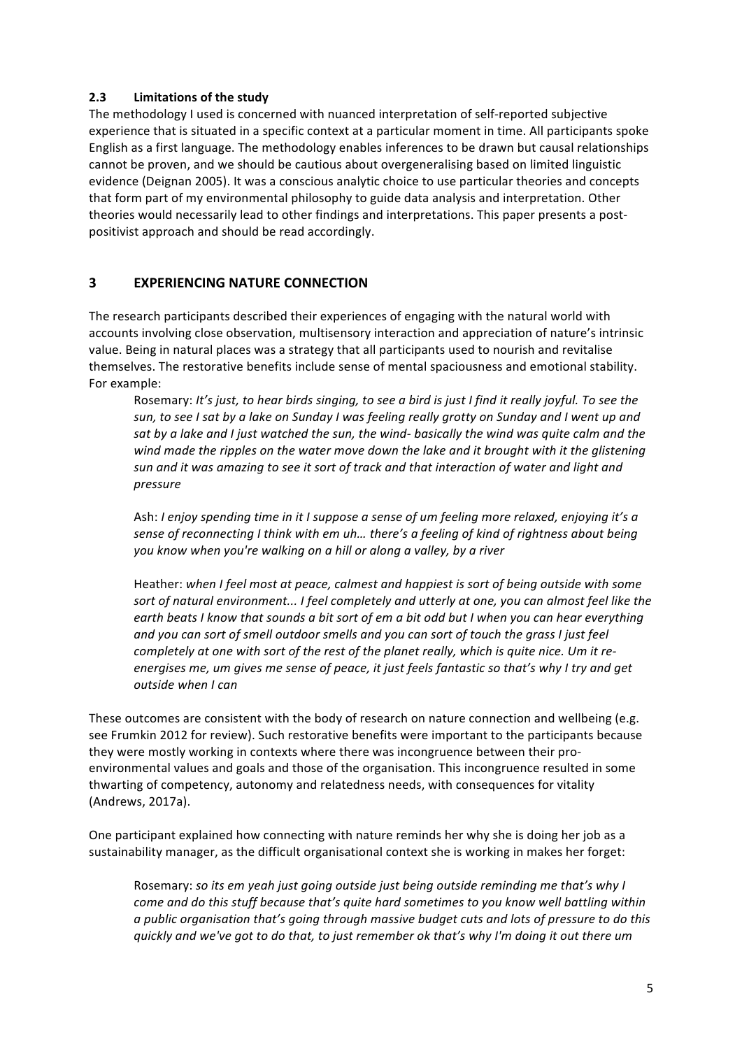## **2.3 Limitations of the study**

The methodology I used is concerned with nuanced interpretation of self-reported subjective experience that is situated in a specific context at a particular moment in time. All participants spoke English as a first language. The methodology enables inferences to be drawn but causal relationships cannot be proven, and we should be cautious about overgeneralising based on limited linguistic evidence (Deignan 2005). It was a conscious analytic choice to use particular theories and concepts that form part of my environmental philosophy to guide data analysis and interpretation. Other theories would necessarily lead to other findings and interpretations. This paper presents a postpositivist approach and should be read accordingly.

## **3 EXPERIENCING NATURE CONNECTION**

The research participants described their experiences of engaging with the natural world with accounts involving close observation, multisensory interaction and appreciation of nature's intrinsic value. Being in natural places was a strategy that all participants used to nourish and revitalise themselves. The restorative benefits include sense of mental spaciousness and emotional stability. For example:

Rosemary: It's just, to hear birds singing, to see a bird is just I find it really joyful. To see the sun, to see I sat by a lake on Sunday I was feeling really grotty on Sunday and I went up and sat by a lake and I just watched the sun, the wind- basically the wind was quite calm and the *wind* made the ripples on the water move down the lake and it brought with it the glistening sun and it was amazing to see it sort of track and that interaction of water and light and *pressure*

Ash: I enjoy spending time in it I suppose a sense of um feeling more relaxed, enjovina it's a sense of reconnecting I think with em uh... there's a feeling of kind of rightness about being you know when you're walking on a hill or along a valley, by a river

Heather: when I feel most at peace, calmest and happiest is sort of being outside with some sort of natural environment... I feel completely and utterly at one, you can almost feel like the earth beats I know that sounds a bit sort of em a bit odd but I when you can hear everything and you can sort of smell outdoor smells and you can sort of touch the grass I just feel *completely at one with sort of the rest of the planet really, which is quite nice. Um it re*energises me, um gives me sense of peace, it just feels fantastic so that's why I try and get *outside when I can* 

These outcomes are consistent with the body of research on nature connection and wellbeing (e.g. see Frumkin 2012 for review). Such restorative benefits were important to the participants because they were mostly working in contexts where there was incongruence between their proenvironmental values and goals and those of the organisation. This incongruence resulted in some thwarting of competency, autonomy and relatedness needs, with consequences for vitality (Andrews, 2017a).

One participant explained how connecting with nature reminds her why she is doing her job as a sustainability manager, as the difficult organisational context she is working in makes her forget:

Rosemary: so its em yeah just going outside just being outside reminding me that's why I *come and do this stuff because that's quite hard sometimes to you know well battling within a* public organisation that's going through massive budget cuts and lots of pressure to do this *quickly* and we've got to do that, to just remember ok that's why I'm doing it out there um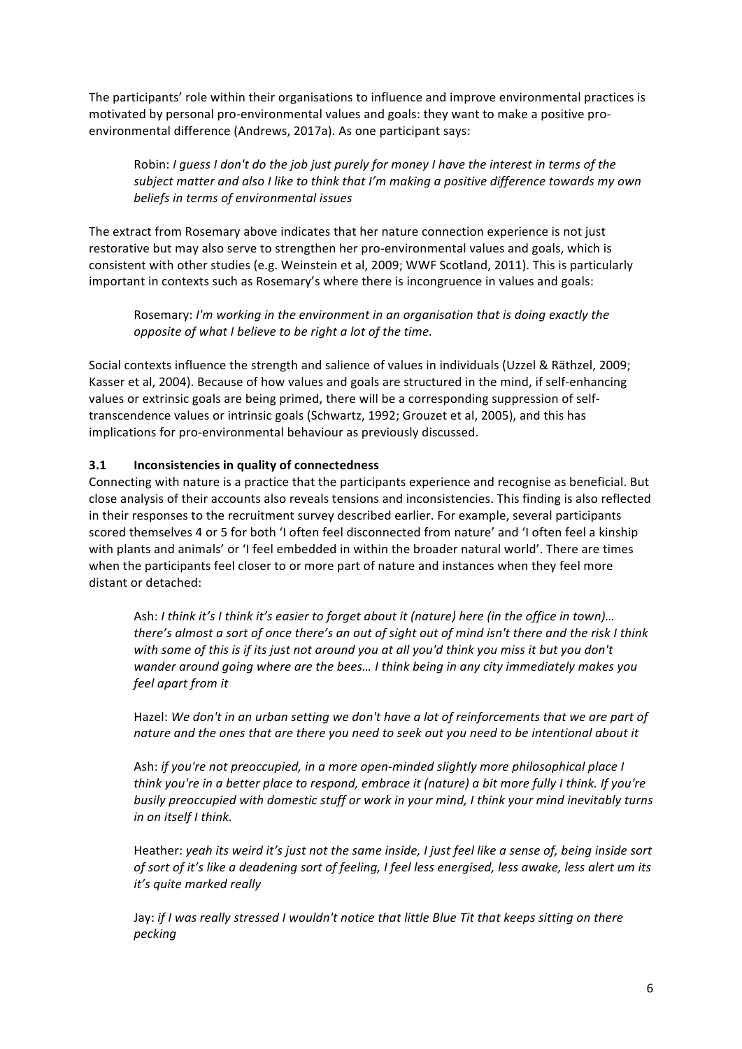The participants' role within their organisations to influence and improve environmental practices is motivated by personal pro-environmental values and goals: they want to make a positive proenvironmental difference (Andrews, 2017a). As one participant says:

Robin: *I* guess *I* don't do the job just purely for money *I* have the interest in terms of the subject matter and also I like to think that I'm making a positive difference towards my own beliefs in terms of environmental issues

The extract from Rosemary above indicates that her nature connection experience is not just restorative but may also serve to strengthen her pro-environmental values and goals, which is consistent with other studies (e.g. Weinstein et al, 2009; WWF Scotland, 2011). This is particularly important in contexts such as Rosemary's where there is incongruence in values and goals:

Rosemary: I'm working in the environment in an organisation that is doing exactly the *opposite of what I believe to be right a lot of the time.* 

Social contexts influence the strength and salience of values in individuals (Uzzel & Räthzel, 2009; Kasser et al, 2004). Because of how values and goals are structured in the mind, if self-enhancing values or extrinsic goals are being primed, there will be a corresponding suppression of selftranscendence values or intrinsic goals (Schwartz, 1992; Grouzet et al, 2005), and this has implications for pro-environmental behaviour as previously discussed.

## **3.1 Inconsistencies in quality of connectedness**

Connecting with nature is a practice that the participants experience and recognise as beneficial. But close analysis of their accounts also reveals tensions and inconsistencies. This finding is also reflected in their responses to the recruitment survey described earlier. For example, several participants scored themselves 4 or 5 for both 'I often feel disconnected from nature' and 'I often feel a kinship with plants and animals' or 'I feel embedded in within the broader natural world'. There are times when the participants feel closer to or more part of nature and instances when they feel more distant or detached:

Ash: I think it's I think it's easier to forget about it (nature) here (in the office in town)... *there's almost a sort of once there's an out of sight out of mind isn't there and the risk I think* with some of this is if its just not around you at all you'd think you miss it but you don't wander around going where are the bees... I think being in any city immediately makes you *feel apart from it*

Hazel: We don't in an urban setting we don't have a lot of reinforcements that we are part of nature and the ones that are there you need to seek out you need to be intentional about it

Ash: *if you're not preoccupied, in a more open-minded slightly more philosophical place I think* you're in a better place to respond, embrace it (nature) a bit more fully I think. If you're *busily preoccupied with domestic stuff or work in your mind. I think your mind inevitably turns in on itself I think.*

Heather: yeah its weird it's just not the same inside, I just feel like a sense of, being inside sort of sort of it's like a deadening sort of feeling, I feel less energised, less awake, less alert um its *it's quite marked really*

Jay: if I was really stressed I wouldn't notice that little Blue Tit that keeps sitting on there *pecking*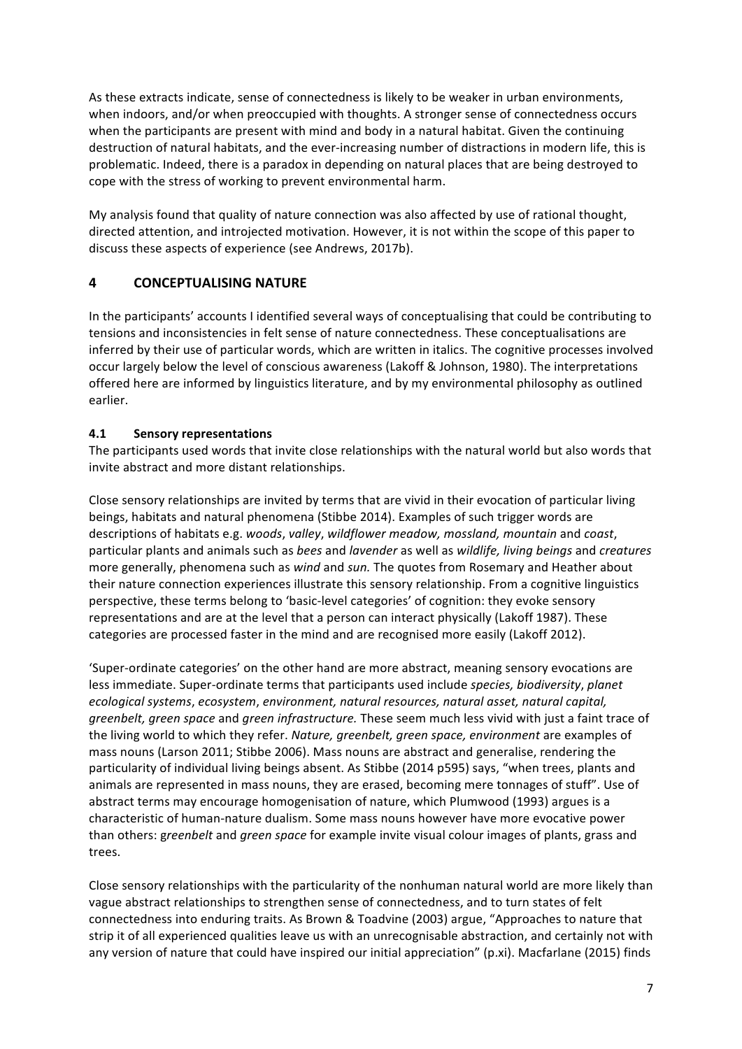As these extracts indicate, sense of connectedness is likely to be weaker in urban environments, when indoors, and/or when preoccupied with thoughts. A stronger sense of connectedness occurs when the participants are present with mind and body in a natural habitat. Given the continuing destruction of natural habitats, and the ever-increasing number of distractions in modern life, this is problematic. Indeed, there is a paradox in depending on natural places that are being destroyed to cope with the stress of working to prevent environmental harm.

My analysis found that quality of nature connection was also affected by use of rational thought, directed attention, and introjected motivation. However, it is not within the scope of this paper to discuss these aspects of experience (see Andrews, 2017b).

# **4 CONCEPTUALISING NATURE**

In the participants' accounts I identified several ways of conceptualising that could be contributing to tensions and inconsistencies in felt sense of nature connectedness. These conceptualisations are inferred by their use of particular words, which are written in italics. The cognitive processes involved occur largely below the level of conscious awareness (Lakoff & Johnson, 1980). The interpretations offered here are informed by linguistics literature, and by my environmental philosophy as outlined earlier. 

# **4.1 Sensory representations**

The participants used words that invite close relationships with the natural world but also words that invite abstract and more distant relationships.

Close sensory relationships are invited by terms that are vivid in their evocation of particular living beings, habitats and natural phenomena (Stibbe 2014). Examples of such trigger words are descriptions of habitats e.g. *woods*, *valley*, *wildflower meadow, mossland, mountain* and *coast*, particular plants and animals such as *bees* and *lavender* as well as *wildlife, living beings* and *creatures* more generally, phenomena such as *wind* and *sun*. The quotes from Rosemary and Heather about their nature connection experiences illustrate this sensory relationship. From a cognitive linguistics perspective, these terms belong to 'basic-level categories' of cognition: they evoke sensory representations and are at the level that a person can interact physically (Lakoff 1987). These categories are processed faster in the mind and are recognised more easily (Lakoff 2012).

'Super-ordinate categories' on the other hand are more abstract, meaning sensory evocations are less immediate. Super-ordinate terms that participants used include *species, biodiversity, planet* ecological systems, ecosystem, environment, natural resources, natural asset, natural capital, *greenbelt, green space* and *green infrastructure.* These seem much less vivid with just a faint trace of the living world to which they refer. *Nature, greenbelt, green space, environment* are examples of mass nouns (Larson 2011; Stibbe 2006). Mass nouns are abstract and generalise, rendering the particularity of individual living beings absent. As Stibbe (2014 p595) says, "when trees, plants and animals are represented in mass nouns, they are erased, becoming mere tonnages of stuff". Use of abstract terms may encourage homogenisation of nature, which Plumwood (1993) argues is a characteristic of human-nature dualism. Some mass nouns however have more evocative power than others: greenbelt and green space for example invite visual colour images of plants, grass and trees.

Close sensory relationships with the particularity of the nonhuman natural world are more likely than vague abstract relationships to strengthen sense of connectedness, and to turn states of felt connectedness into enduring traits. As Brown & Toadvine (2003) argue, "Approaches to nature that strip it of all experienced qualities leave us with an unrecognisable abstraction, and certainly not with any version of nature that could have inspired our initial appreciation" (p.xi). Macfarlane (2015) finds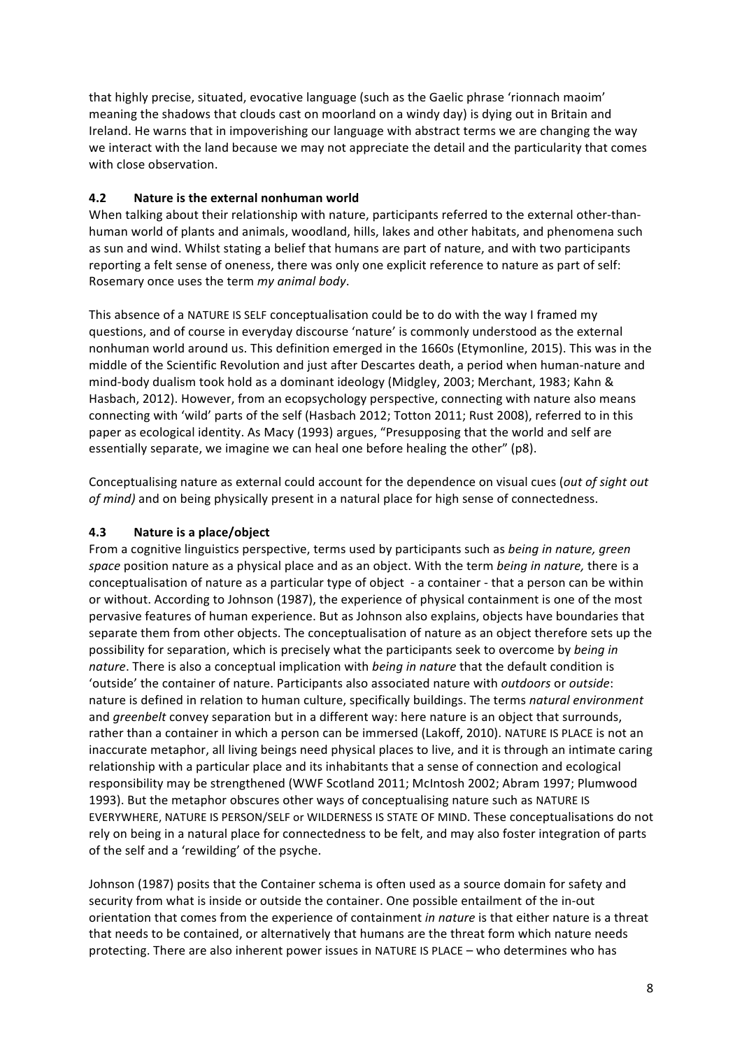that highly precise, situated, evocative language (such as the Gaelic phrase 'rionnach maoim' meaning the shadows that clouds cast on moorland on a windy day) is dying out in Britain and Ireland. He warns that in impoverishing our language with abstract terms we are changing the way we interact with the land because we may not appreciate the detail and the particularity that comes with close observation.

## **4.2** Nature is the external nonhuman world

When talking about their relationship with nature, participants referred to the external other-thanhuman world of plants and animals, woodland, hills, lakes and other habitats, and phenomena such as sun and wind. Whilst stating a belief that humans are part of nature, and with two participants reporting a felt sense of oneness, there was only one explicit reference to nature as part of self: Rosemary once uses the term *my animal body*.

This absence of a NATURE IS SELF conceptualisation could be to do with the way I framed my questions, and of course in everyday discourse 'nature' is commonly understood as the external nonhuman world around us. This definition emerged in the 1660s (Etymonline, 2015). This was in the middle of the Scientific Revolution and just after Descartes death, a period when human-nature and mind-body dualism took hold as a dominant ideology (Midgley, 2003; Merchant, 1983; Kahn & Hasbach, 2012). However, from an ecopsychology perspective, connecting with nature also means connecting with 'wild' parts of the self (Hasbach 2012; Totton 2011; Rust 2008), referred to in this paper as ecological identity. As Macy (1993) argues, "Presupposing that the world and self are essentially separate, we imagine we can heal one before healing the other" (p8).

Conceptualising nature as external could account for the dependence on visual cues (out of sight out *of mind*) and on being physically present in a natural place for high sense of connectedness.

## **4.3 Nature is a place/object**

From a cognitive linguistics perspective, terms used by participants such as being in nature, green space position nature as a physical place and as an object. With the term *being in nature*, there is a conceptualisation of nature as a particular type of object - a container - that a person can be within or without. According to Johnson (1987), the experience of physical containment is one of the most pervasive features of human experience. But as Johnson also explains, objects have boundaries that separate them from other objects. The conceptualisation of nature as an object therefore sets up the possibility for separation, which is precisely what the participants seek to overcome by *being in nature*. There is also a conceptual implication with *being in nature* that the default condition is 'outside' the container of nature. Participants also associated nature with *outdoors* or *outside*: nature is defined in relation to human culture, specifically buildings. The terms *natural environment* and *greenbelt* convey separation but in a different way: here nature is an object that surrounds, rather than a container in which a person can be immersed (Lakoff, 2010). NATURE IS PLACE is not an inaccurate metaphor, all living beings need physical places to live, and it is through an intimate caring relationship with a particular place and its inhabitants that a sense of connection and ecological responsibility may be strengthened (WWF Scotland 2011; McIntosh 2002; Abram 1997; Plumwood 1993). But the metaphor obscures other ways of conceptualising nature such as NATURE IS EVERYWHERE, NATURE IS PERSON/SELF or WILDERNESS IS STATE OF MIND. These conceptualisations do not rely on being in a natural place for connectedness to be felt, and may also foster integration of parts of the self and a 'rewilding' of the psyche.

Johnson (1987) posits that the Container schema is often used as a source domain for safety and security from what is inside or outside the container. One possible entailment of the in-out orientation that comes from the experience of containment *in nature* is that either nature is a threat that needs to be contained, or alternatively that humans are the threat form which nature needs protecting. There are also inherent power issues in NATURE IS PLACE – who determines who has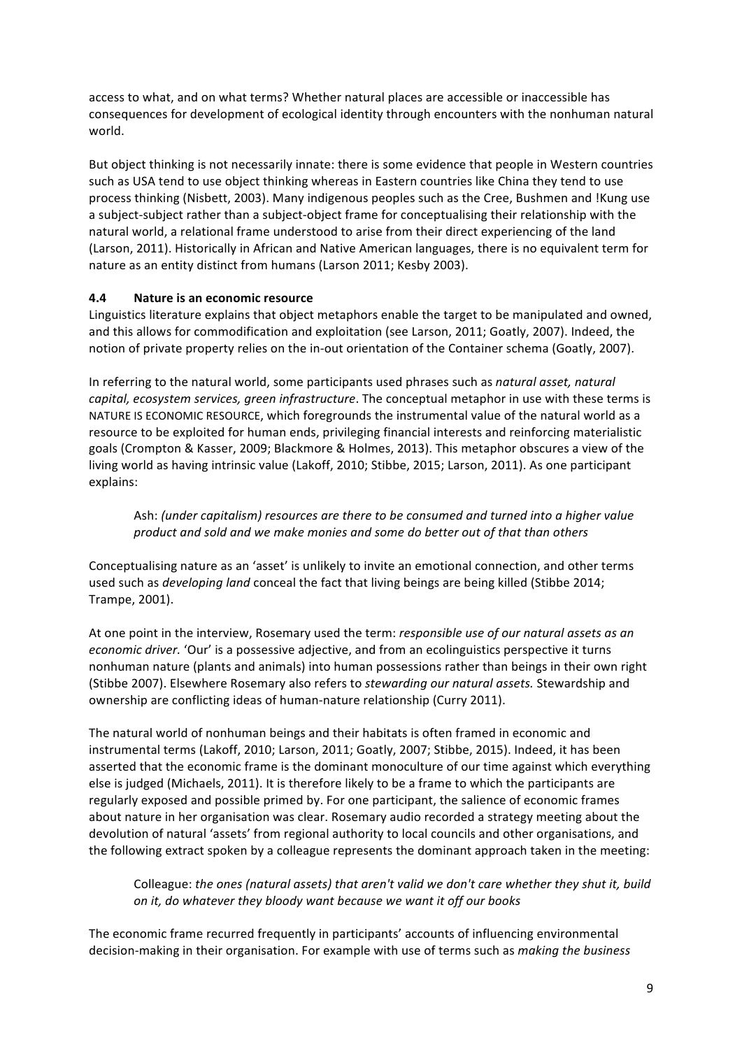access to what, and on what terms? Whether natural places are accessible or inaccessible has consequences for development of ecological identity through encounters with the nonhuman natural world.

But object thinking is not necessarily innate: there is some evidence that people in Western countries such as USA tend to use object thinking whereas in Eastern countries like China they tend to use process thinking (Nisbett, 2003). Many indigenous peoples such as the Cree, Bushmen and !Kung use a subject-subject rather than a subject-object frame for conceptualising their relationship with the natural world, a relational frame understood to arise from their direct experiencing of the land (Larson, 2011). Historically in African and Native American languages, there is no equivalent term for nature as an entity distinct from humans (Larson 2011; Kesby 2003).

## **4.4 Nature is an economic resource**

Linguistics literature explains that object metaphors enable the target to be manipulated and owned, and this allows for commodification and exploitation (see Larson, 2011; Goatly, 2007). Indeed, the notion of private property relies on the in-out orientation of the Container schema (Goatly, 2007).

In referring to the natural world, some participants used phrases such as *natural asset, natural capital, ecosystem services, green infrastructure*. The conceptual metaphor in use with these terms is NATURE IS ECONOMIC RESOURCE, which foregrounds the instrumental value of the natural world as a resource to be exploited for human ends, privileging financial interests and reinforcing materialistic goals (Crompton & Kasser, 2009; Blackmore & Holmes, 2013). This metaphor obscures a view of the living world as having intrinsic value (Lakoff, 2010; Stibbe, 2015; Larson, 2011). As one participant explains:

Ash: (under capitalism) resources are there to be consumed and turned into a higher value product and sold and we make monies and some do better out of that than others

Conceptualising nature as an 'asset' is unlikely to invite an emotional connection, and other terms used such as *developing land* conceal the fact that living beings are being killed (Stibbe 2014; Trampe, 2001).

At one point in the interview, Rosemary used the term: *responsible use of our natural assets as an economic driver.* 'Our' is a possessive adjective, and from an ecolinguistics perspective it turns nonhuman nature (plants and animals) into human possessions rather than beings in their own right (Stibbe 2007). Elsewhere Rosemary also refers to *stewarding our natural assets*. Stewardship and ownership are conflicting ideas of human-nature relationship (Curry 2011).

The natural world of nonhuman beings and their habitats is often framed in economic and instrumental terms (Lakoff, 2010; Larson, 2011; Goatly, 2007; Stibbe, 2015). Indeed, it has been asserted that the economic frame is the dominant monoculture of our time against which everything else is judged (Michaels, 2011). It is therefore likely to be a frame to which the participants are regularly exposed and possible primed by. For one participant, the salience of economic frames about nature in her organisation was clear. Rosemary audio recorded a strategy meeting about the devolution of natural 'assets' from regional authority to local councils and other organisations, and the following extract spoken by a colleague represents the dominant approach taken in the meeting:

Colleague: the ones (natural assets) that aren't valid we don't care whether they shut it, build *on* it, do whatever they bloody want because we want it off our books

The economic frame recurred frequently in participants' accounts of influencing environmental decision-making in their organisation. For example with use of terms such as *making the business*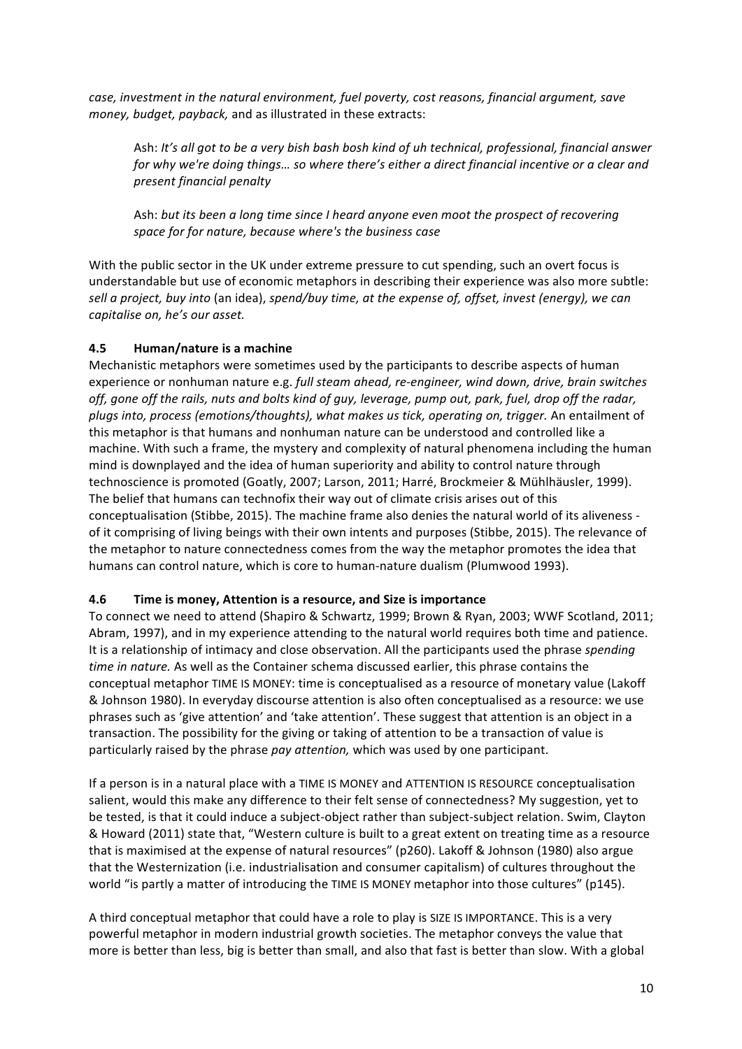*case,* investment in the natural environment, fuel poverty, cost reasons, financial argument, save *money, budget, payback,* and as illustrated in these extracts:

Ash: It's all got to be a very bish bash bosh kind of uh technical, professional, financial answer *for* why we're doing things... so where there's either a direct financial incentive or a clear and *present financial penalty*

Ash: but its been a long time since I heard anyone even moot the prospect of recovering *space for for nature, because where's the business case*

With the public sector in the UK under extreme pressure to cut spending, such an overt focus is understandable but use of economic metaphors in describing their experience was also more subtle: sell a project, buy into (an idea), spend/buy time, at the expense of, offset, invest (energy), we can capitalise on, he's our asset.

#### **4.5 Human/nature is a machine**

Mechanistic metaphors were sometimes used by the participants to describe aspects of human experience or nonhuman nature e.g. full steam ahead, re-engineer, wind down, drive, brain switches off, gone off the rails, nuts and bolts kind of guy, leverage, pump out, park, fuel, drop off the radar, plugs into, process (emotions/thoughts), what makes us tick, operating on, trigger. An entailment of this metaphor is that humans and nonhuman nature can be understood and controlled like a machine. With such a frame, the mystery and complexity of natural phenomena including the human mind is downplayed and the idea of human superiority and ability to control nature through technoscience is promoted (Goatly, 2007; Larson, 2011; Harré, Brockmeier & Mühlhäusler, 1999). The belief that humans can technofix their way out of climate crisis arises out of this conceptualisation (Stibbe, 2015). The machine frame also denies the natural world of its aliveness of it comprising of living beings with their own intents and purposes (Stibbe, 2015). The relevance of the metaphor to nature connectedness comes from the way the metaphor promotes the idea that humans can control nature, which is core to human-nature dualism (Plumwood 1993).

#### **4.6** Time is money, Attention is a resource, and Size is importance

To connect we need to attend (Shapiro & Schwartz, 1999; Brown & Ryan, 2003; WWF Scotland, 2011; Abram, 1997), and in my experience attending to the natural world requires both time and patience. It is a relationship of intimacy and close observation. All the participants used the phrase *spending time in nature.* As well as the Container schema discussed earlier, this phrase contains the conceptual metaphor TIME IS MONEY: time is conceptualised as a resource of monetary value (Lakoff & Johnson 1980). In everyday discourse attention is also often conceptualised as a resource: we use phrases such as 'give attention' and 'take attention'. These suggest that attention is an object in a transaction. The possibility for the giving or taking of attention to be a transaction of value is particularly raised by the phrase *pay attention*, which was used by one participant.

If a person is in a natural place with a TIME IS MONEY and ATTENTION IS RESOURCE conceptualisation salient, would this make any difference to their felt sense of connectedness? My suggestion, yet to be tested, is that it could induce a subject-object rather than subject-subject relation. Swim, Clayton & Howard (2011) state that, "Western culture is built to a great extent on treating time as a resource that is maximised at the expense of natural resources" (p260). Lakoff & Johnson (1980) also argue that the Westernization (i.e. industrialisation and consumer capitalism) of cultures throughout the world "is partly a matter of introducing the TIME IS MONEY metaphor into those cultures" (p145).

A third conceptual metaphor that could have a role to play is SIZE IS IMPORTANCE. This is a very powerful metaphor in modern industrial growth societies. The metaphor conveys the value that more is better than less, big is better than small, and also that fast is better than slow. With a global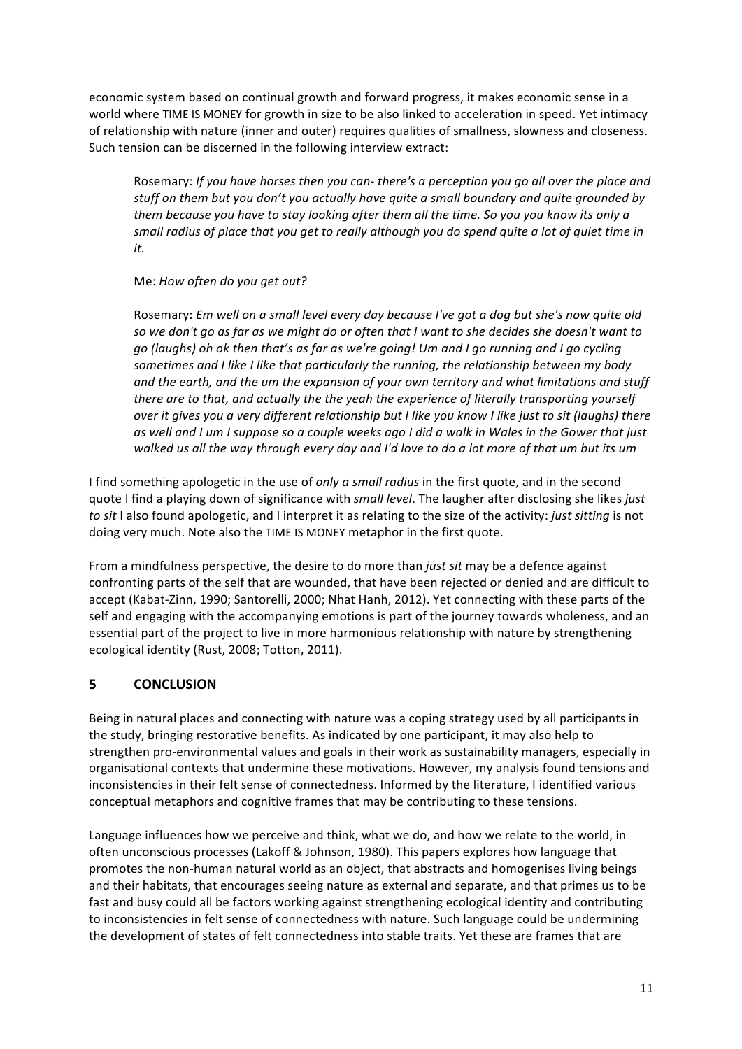economic system based on continual growth and forward progress, it makes economic sense in a world where TIME IS MONEY for growth in size to be also linked to acceleration in speed. Yet intimacy of relationship with nature (inner and outer) requires qualities of smallness, slowness and closeness. Such tension can be discerned in the following interview extract:

Rosemary: If you have horses then you can- there's a perception you go all over the place and stuff on them but you don't you actually have quite a small boundary and quite grounded by *them* because you have to stay looking after them all the time. So you you know its only a small radius of place that you get to really although you do spend quite a lot of quiet time in *it.*

Me: How often do you get out?

Rosemary: Em well on a small level every day because I've got a dog but she's now quite old so we don't go as far as we might do or often that I want to she decides she doesn't want to *go* (laughs) oh ok then that's as far as we're going! Um and I go running and I go cycling sometimes and I like I like that particularly the running, the relationship between my body and the earth, and the um the expansion of your own territory and what limitations and stuff *there are to that, and actually the the yeah the experience of literally transporting yourself over* it gives you a very different relationship but I like you know I like just to sit (laughs) there as well and I um I suppose so a couple weeks ago I did a walk in Wales in the Gower that just walked us all the way through every day and I'd love to do a lot more of that um but its um

I find something apologetic in the use of *only a small radius* in the first quote, and in the second quote I find a playing down of significance with *small level*. The laugher after disclosing she likes *just to* sit I also found apologetic, and I interpret it as relating to the size of the activity: *just sitting* is not doing very much. Note also the TIME IS MONEY metaphor in the first quote.

From a mindfulness perspective, the desire to do more than *just sit* may be a defence against confronting parts of the self that are wounded, that have been rejected or denied and are difficult to accept (Kabat-Zinn, 1990; Santorelli, 2000; Nhat Hanh, 2012). Yet connecting with these parts of the self and engaging with the accompanying emotions is part of the journey towards wholeness, and an essential part of the project to live in more harmonious relationship with nature by strengthening ecological identity (Rust, 2008; Totton, 2011).

# **5 CONCLUSION**

Being in natural places and connecting with nature was a coping strategy used by all participants in the study, bringing restorative benefits. As indicated by one participant, it may also help to strengthen pro-environmental values and goals in their work as sustainability managers, especially in organisational contexts that undermine these motivations. However, my analysis found tensions and inconsistencies in their felt sense of connectedness. Informed by the literature, I identified various conceptual metaphors and cognitive frames that may be contributing to these tensions.

Language influences how we perceive and think, what we do, and how we relate to the world, in often unconscious processes (Lakoff & Johnson, 1980). This papers explores how language that promotes the non-human natural world as an object, that abstracts and homogenises living beings and their habitats, that encourages seeing nature as external and separate, and that primes us to be fast and busy could all be factors working against strengthening ecological identity and contributing to inconsistencies in felt sense of connectedness with nature. Such language could be undermining the development of states of felt connectedness into stable traits. Yet these are frames that are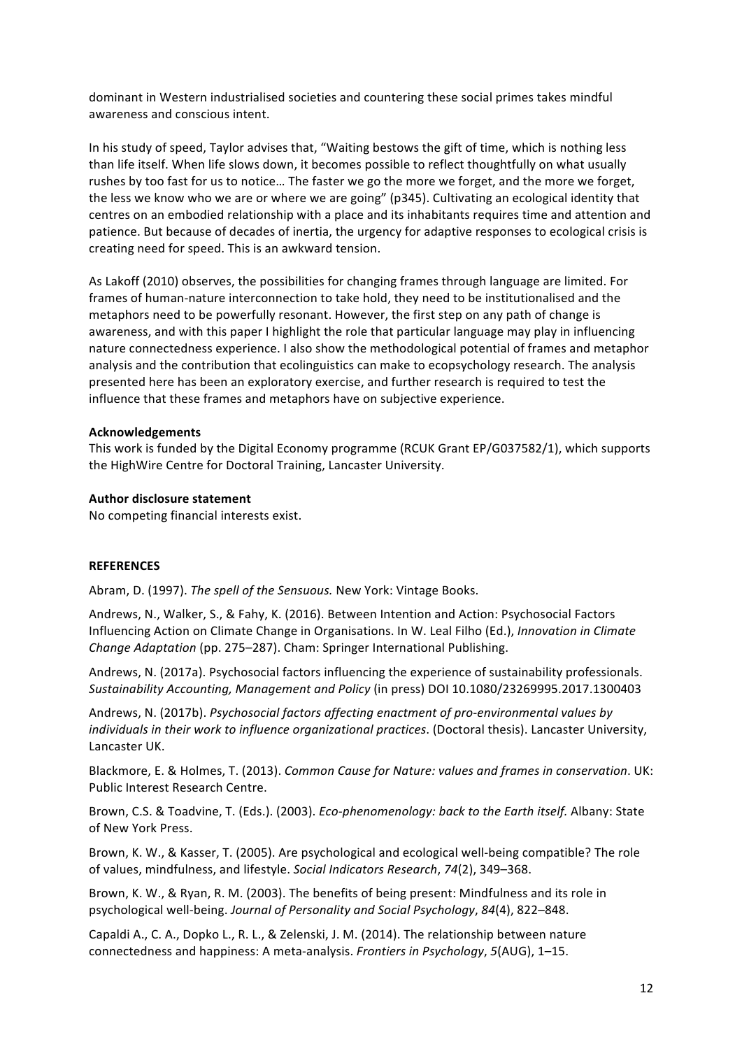dominant in Western industrialised societies and countering these social primes takes mindful awareness and conscious intent.

In his study of speed, Taylor advises that, "Waiting bestows the gift of time, which is nothing less than life itself. When life slows down, it becomes possible to reflect thoughtfully on what usually rushes by too fast for us to notice... The faster we go the more we forget, and the more we forget, the less we know who we are or where we are going" (p345). Cultivating an ecological identity that centres on an embodied relationship with a place and its inhabitants requires time and attention and patience. But because of decades of inertia, the urgency for adaptive responses to ecological crisis is creating need for speed. This is an awkward tension.

As Lakoff (2010) observes, the possibilities for changing frames through language are limited. For frames of human-nature interconnection to take hold, they need to be institutionalised and the metaphors need to be powerfully resonant. However, the first step on any path of change is awareness, and with this paper I highlight the role that particular language may play in influencing nature connectedness experience. I also show the methodological potential of frames and metaphor analysis and the contribution that ecolinguistics can make to ecopsychology research. The analysis presented here has been an exploratory exercise, and further research is required to test the influence that these frames and metaphors have on subjective experience.

#### **Acknowledgements**

This work is funded by the Digital Economy programme (RCUK Grant EP/G037582/1), which supports the HighWire Centre for Doctoral Training, Lancaster University.

#### **Author disclosure statement**

No competing financial interests exist.

#### **REFERENCES**

Abram, D. (1997). The spell of the Sensuous. New York: Vintage Books.

Andrews, N., Walker, S., & Fahy, K. (2016). Between Intention and Action: Psychosocial Factors Influencing Action on Climate Change in Organisations. In W. Leal Filho (Ed.), *Innovation in Climate Change Adaptation* (pp. 275–287). Cham: Springer International Publishing.

Andrews, N. (2017a). Psychosocial factors influencing the experience of sustainability professionals. *Sustainability Accounting, Management and Policy* (in press) DOI 10.1080/23269995.2017.1300403

Andrews, N. (2017b). *Psychosocial factors affecting enactment of pro-environmental values by individuals in their work to influence organizational practices.* (Doctoral thesis). Lancaster University, Lancaster UK.

Blackmore, E. & Holmes, T. (2013). *Common Cause for Nature: values and frames in conservation*. UK: Public Interest Research Centre.

Brown, C.S. & Toadvine, T. (Eds.). (2003). *Eco-phenomenology: back to the Earth itself.* Albany: State of New York Press. 

Brown, K. W., & Kasser, T. (2005). Are psychological and ecological well-being compatible? The role of values, mindfulness, and lifestyle. Social Indicators Research, 74(2), 349–368.

Brown, K. W., & Ryan, R. M. (2003). The benefits of being present: Mindfulness and its role in psychological well-being. *Journal of Personality and Social Psychology*, 84(4), 822–848.

Capaldi A., C. A., Dopko L., R. L., & Zelenski, J. M. (2014). The relationship between nature connectedness and happiness: A meta-analysis. *Frontiers in Psychology*, 5(AUG), 1-15.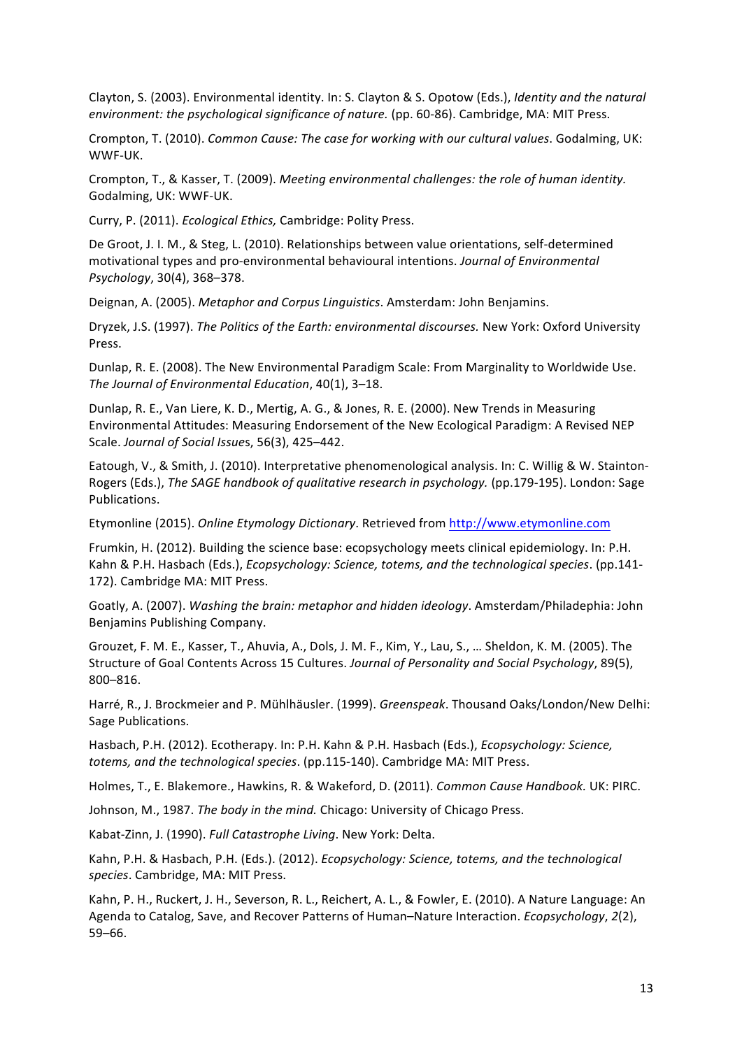Clayton, S. (2003). Environmental identity. In: S. Clayton & S. Opotow (Eds.), *Identity and the natural environment: the psychological significance of nature.* (pp. 60-86). Cambridge, MA: MIT Press.

Crompton, T. (2010). *Common Cause: The case for working with our cultural values*. Godalming, UK: WWF-UK.

Crompton, T., & Kasser, T. (2009). *Meeting environmental challenges: the role of human identity.* Godalming, UK: WWF-UK.

Curry, P. (2011). *Ecological Ethics,* Cambridge: Polity Press.

De Groot, J. I. M., & Steg, L. (2010). Relationships between value orientations, self-determined motivational types and pro-environmental behavioural intentions. *Journal of Environmental Psychology*, 30(4), 368–378.

Deignan, A. (2005). *Metaphor and Corpus Linguistics*. Amsterdam: John Benjamins.

Dryzek, J.S. (1997). The Politics of the Earth: environmental discourses. New York: Oxford University Press.

Dunlap, R. E. (2008). The New Environmental Paradigm Scale: From Marginality to Worldwide Use. *The Journal of Environmental Education, 40(1), 3-18.* 

Dunlap, R. E., Van Liere, K. D., Mertig, A. G., & Jones, R. E. (2000). New Trends in Measuring Environmental Attitudes: Measuring Endorsement of the New Ecological Paradigm: A Revised NEP Scale. *Journal of Social Issues*, 56(3), 425-442.

Eatough, V., & Smith, J. (2010). Interpretative phenomenological analysis. In: C. Willig & W. Stainton-Rogers (Eds.), *The SAGE handbook of qualitative research in psychology.* (pp.179-195). London: Sage Publications. 

Etymonline (2015). *Online Etymology Dictionary*. Retrieved from http://www.etymonline.com

Frumkin, H. (2012). Building the science base: ecopsychology meets clinical epidemiology. In: P.H. Kahn & P.H. Hasbach (Eds.), *Ecopsychology: Science, totems, and the technological species*. (pp.141-172). Cambridge MA: MIT Press.

Goatly, A. (2007). *Washing the brain: metaphor and hidden ideology*. Amsterdam/Philadephia: John Benjamins Publishing Company.

Grouzet, F. M. E., Kasser, T., Ahuvia, A., Dols, J. M. F., Kim, Y., Lau, S., ... Sheldon, K. M. (2005). The Structure of Goal Contents Across 15 Cultures. *Journal of Personality and Social Psychology*, 89(5), 800–816. 

Harré, R., J. Brockmeier and P. Mühlhäusler. (1999). *Greenspeak*. Thousand Oaks/London/New Delhi: Sage Publications.

Hasbach, P.H. (2012). Fcotherapy. In: P.H. Kahn & P.H. Hasbach (Eds.), *Ecopsychology: Science*, *totems, and the technological species.* (pp.115-140). Cambridge MA: MIT Press.

Holmes, T., E. Blakemore., Hawkins, R. & Wakeford, D. (2011). *Common Cause Handbook.* UK: PIRC.

Johnson, M., 1987. *The body in the mind.* Chicago: University of Chicago Press.

Kabat-Zinn, J. (1990). *Full Catastrophe Living*. New York: Delta.

Kahn, P.H. & Hasbach, P.H. (Eds.). (2012). *Ecopsychology: Science, totems, and the technological* species. Cambridge, MA: MIT Press.

Kahn, P. H., Ruckert, J. H., Severson, R. L., Reichert, A. L., & Fowler, E. (2010). A Nature Language: An Agenda to Catalog, Save, and Recover Patterns of Human–Nature Interaction. *Ecopsychology*, 2(2), 59–66.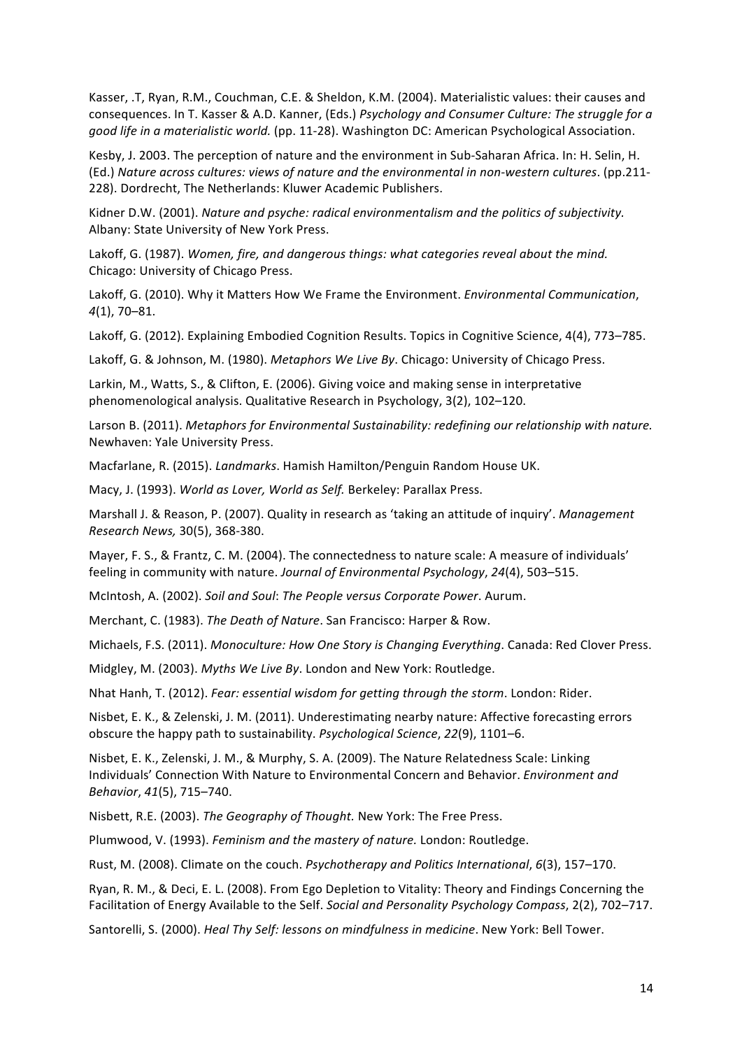Kasser, .T, Ryan, R.M., Couchman, C.E. & Sheldon, K.M. (2004). Materialistic values: their causes and consequences. In T. Kasser & A.D. Kanner, (Eds.) Psychology and Consumer Culture: The struggle for a *good life in a materialistic world.* (pp. 11-28). Washington DC: American Psychological Association.

Kesby, J. 2003. The perception of nature and the environment in Sub-Saharan Africa. In: H. Selin, H. (Ed.) *Nature across cultures: views of nature and the environmental in non-western cultures*. (pp.211- 228). Dordrecht, The Netherlands: Kluwer Academic Publishers.

Kidner D.W. (2001). *Nature and psyche: radical environmentalism and the politics of subjectivity.* Albany: State University of New York Press.

Lakoff, G. (1987). *Women, fire, and dangerous things: what categories reveal about the mind.* Chicago: University of Chicago Press.

Lakoff, G. (2010). Why it Matters How We Frame the Environment. *Environmental Communication*, *4*(1), 70–81.

Lakoff, G. (2012). Explaining Embodied Cognition Results. Topics in Cognitive Science, 4(4), 773–785.

Lakoff, G. & Johnson, M. (1980). *Metaphors We Live By*. Chicago: University of Chicago Press.

Larkin, M., Watts, S., & Clifton, E. (2006). Giving voice and making sense in interpretative phenomenological analysis. Qualitative Research in Psychology, 3(2), 102-120.

Larson B. (2011). *Metaphors for Environmental Sustainability: redefining our relationship with nature.* Newhaven: Yale University Press.

Macfarlane, R. (2015). *Landmarks*. Hamish Hamilton/Penguin Random House UK.

Macy, J. (1993). *World as Lover, World as Self.* Berkeley: Parallax Press.

Marshall J. & Reason, P. (2007). Quality in research as 'taking an attitude of inquiry'. Management *Research News,* 30(5), 368-380.

Mayer, F. S., & Frantz, C. M. (2004). The connectedness to nature scale: A measure of individuals' feeling in community with nature. *Journal of Environmental Psychology*, 24(4), 503-515.

McIntosh, A. (2002). *Soil and Soul: The People versus Corporate Power*. Aurum.

Merchant, C. (1983). *The Death of Nature*. San Francisco: Harper & Row.

Michaels, F.S. (2011). Monoculture: How One Story is Changing Everything. Canada: Red Clover Press.

Midgley, M. (2003). Myths We Live By. London and New York: Routledge.

Nhat Hanh, T. (2012). *Fear: essential wisdom for getting through the storm*. London: Rider.

Nisbet, E. K., & Zelenski, J. M. (2011). Underestimating nearby nature: Affective forecasting errors obscure the happy path to sustainability. *Psychological Science*, 22(9), 1101–6.

Nisbet, E. K., Zelenski, J. M., & Murphy, S. A. (2009). The Nature Relatedness Scale: Linking Individuals' Connection With Nature to Environmental Concern and Behavior. *Environment and Behavior*, *41*(5), 715–740. 

Nisbett, R.E. (2003). *The Geography of Thought*. New York: The Free Press.

Plumwood, V. (1993). *Feminism and the mastery of nature.* London: Routledge.

Rust, M. (2008). Climate on the couch. *Psychotherapy and Politics International*, 6(3), 157–170.

Ryan, R. M., & Deci, E. L. (2008). From Ego Depletion to Vitality: Theory and Findings Concerning the Facilitation of Energy Available to the Self. Social and Personality Psychology Compass, 2(2), 702-717.

Santorelli, S. (2000). *Heal Thy Self: lessons on mindfulness in medicine*. New York: Bell Tower.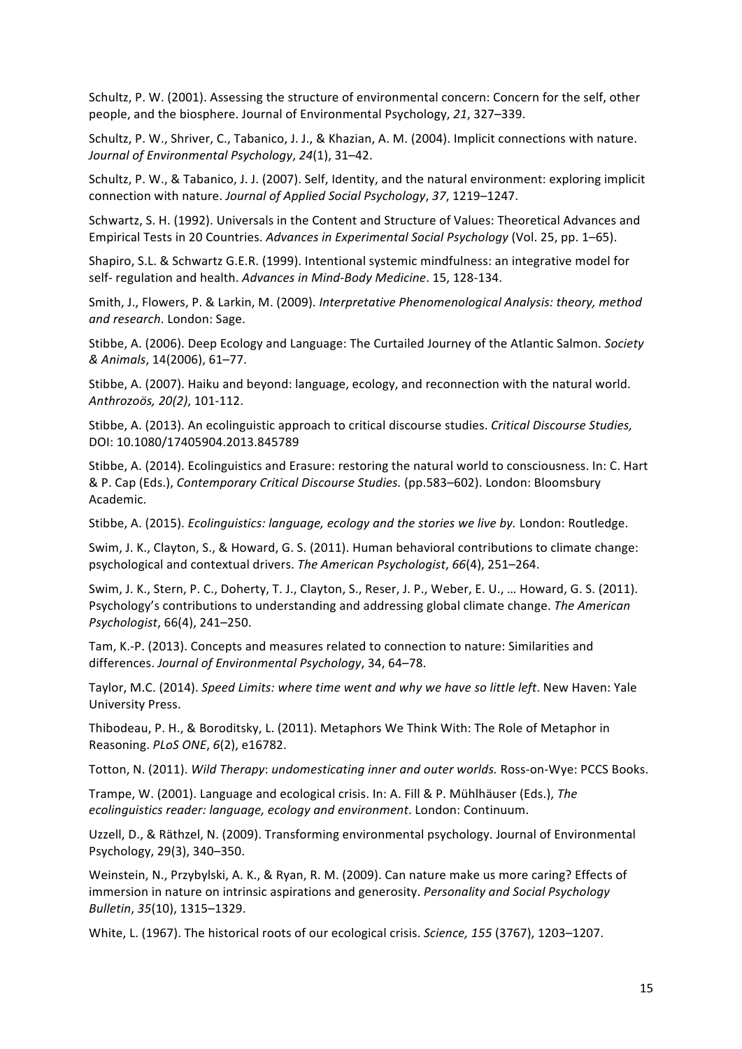Schultz, P. W. (2001). Assessing the structure of environmental concern: Concern for the self, other people, and the biosphere. Journal of Environmental Psychology, 21, 327–339.

Schultz, P. W., Shriver, C., Tabanico, J. J., & Khazian, A. M. (2004). Implicit connections with nature. *Journal of Environmental Psychology*, *24*(1), 31–42. 

Schultz, P. W., & Tabanico, J. J. (2007). Self, Identity, and the natural environment: exploring implicit connection with nature. *Journal of Applied Social Psychology*, *37*, 1219–1247.

Schwartz, S. H. (1992). Universals in the Content and Structure of Values: Theoretical Advances and Empirical Tests in 20 Countries. *Advances in Experimental Social Psychology* (Vol. 25, pp. 1–65).

Shapiro, S.L. & Schwartz G.E.R. (1999). Intentional systemic mindfulness: an integrative model for self- regulation and health. Advances in Mind-Body Medicine. 15, 128-134.

Smith, J., Flowers, P. & Larkin, M. (2009). *Interpretative Phenomenological Analysis: theory, method* and research. London: Sage.

Stibbe, A. (2006). Deep Ecology and Language: The Curtailed Journey of the Atlantic Salmon. *Society & Animals*, 14(2006), 61–77. 

Stibbe, A. (2007). Haiku and beyond: language, ecology, and reconnection with the natural world. *Anthrozoös, 20(2)*, 101-112.

Stibbe, A. (2013). An ecolinguistic approach to critical discourse studies. *Critical Discourse Studies*, DOI: 10.1080/17405904.2013.845789

Stibbe, A. (2014). Ecolinguistics and Erasure: restoring the natural world to consciousness. In: C. Hart & P. Cap (Eds.), *Contemporary Critical Discourse Studies.* (pp.583–602). London: Bloomsbury Academic.

Stibbe, A. (2015). *Ecolinguistics: language, ecology and the stories we live by.* London: Routledge.

Swim, J. K., Clayton, S., & Howard, G. S. (2011). Human behavioral contributions to climate change: psychological and contextual drivers. The American Psychologist, 66(4), 251–264.

Swim, J. K., Stern, P. C., Doherty, T. J., Clayton, S., Reser, J. P., Weber, E. U., ... Howard, G. S. (2011). Psychology's contributions to understanding and addressing global climate change. The American *Psychologist*, 66(4), 241–250.

Tam, K.-P. (2013). Concepts and measures related to connection to nature: Similarities and differences. Journal of Environmental Psychology, 34, 64-78.

Taylor, M.C. (2014). *Speed Limits: where time went and why we have so little left*. New Haven: Yale University Press. 

Thibodeau, P. H., & Boroditsky, L. (2011). Metaphors We Think With: The Role of Metaphor in Reasoning. *PLoS ONE*, *6*(2), e16782.

Totton, N. (2011). *Wild Therapy: undomesticating inner and outer worlds.* Ross-on-Wye: PCCS Books.

Trampe, W. (2001). Language and ecological crisis. In: A. Fill & P. Mühlhäuser (Eds.), *The ecolinguistics reader: language, ecology and environment. London: Continuum.* 

Uzzell, D., & Räthzel, N. (2009). Transforming environmental psychology. Journal of Environmental Psychology, 29(3), 340-350.

Weinstein, N., Przybylski, A. K., & Ryan, R. M. (2009). Can nature make us more caring? Effects of immersion in nature on intrinsic aspirations and generosity. *Personality and Social Psychology Bulletin*, *35*(10), 1315–1329. 

White, L. (1967). The historical roots of our ecological crisis. *Science, 155* (3767), 1203–1207.